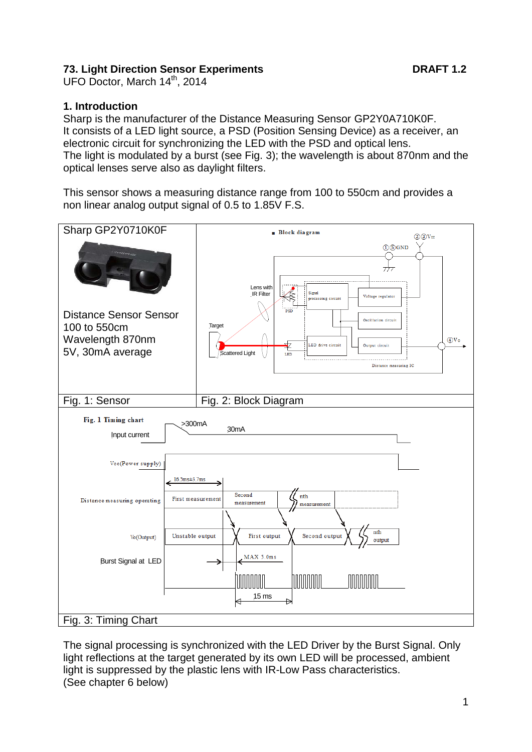### **73. Light Direction Sensor Experiments DRAFT 1.2**

UFO Doctor, March 14<sup>th</sup>, 2014

#### **1. Introduction**

Sharp is the manufacturer of the Distance Measuring Sensor GP2Y0A710K0F. It consists of a LED light source, a PSD (Position Sensing Device) as a receiver, an electronic circuit for synchronizing the LED with the PSD and optical lens. The light is modulated by a burst (see Fig. 3); the wavelength is about 870nm and the optical lenses serve also as daylight filters.

This sensor shows a measuring distance range from 100 to 550cm and provides a non linear analog output signal of 0.5 to 1.85V F.S.



The signal processing is synchronized with the LED Driver by the Burst Signal. Only light reflections at the target generated by its own LED will be processed, ambient light is suppressed by the plastic lens with IR-Low Pass characteristics. (See chapter 6 below)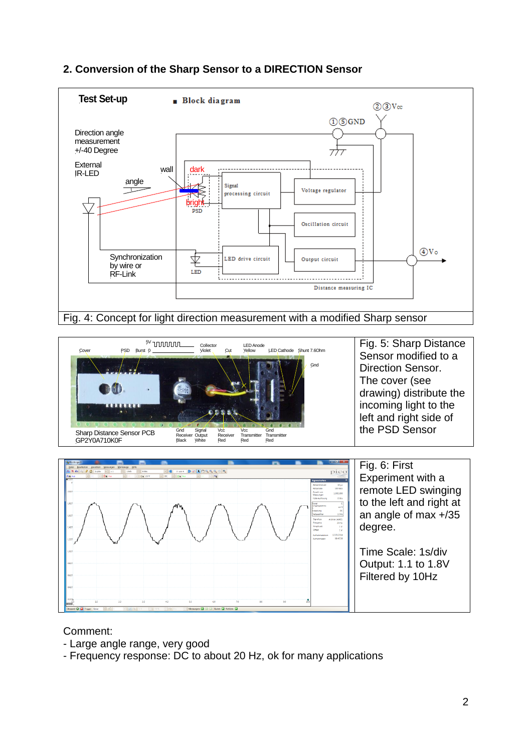### **2. Conversion of the Sharp Sensor to a DIRECTION Sensor**





#### Comment:

- Large angle range, very good
- Frequency response: DC to about 20 Hz, ok for many applications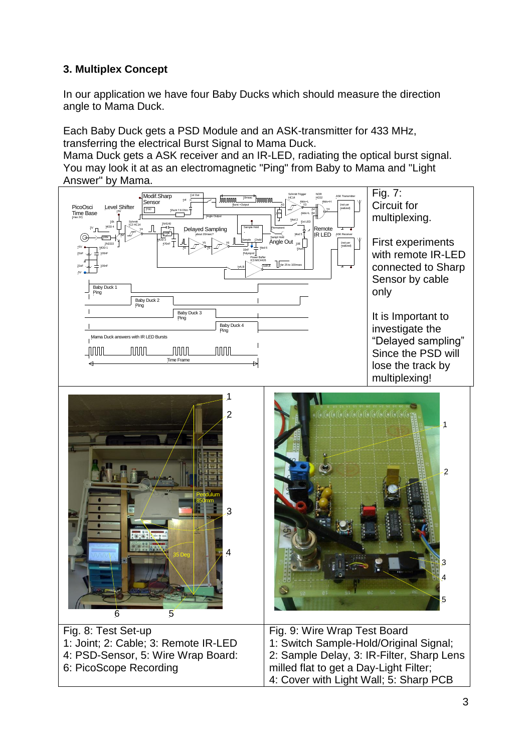# **3. Multiplex Concept**

In our application we have four Baby Ducks which should measure the direction angle to Mama Duck.

Each Baby Duck gets a PSD Module and an ASK-transmitter for 433 MHz, transferring the electrical Burst Signal to Mama Duck.

Mama Duck gets a ASK receiver and an IR-LED, radiating the optical burst signal. You may look it at as an electromagnetic "Ping" from Baby to Mama and "Light Answer" by Mama.

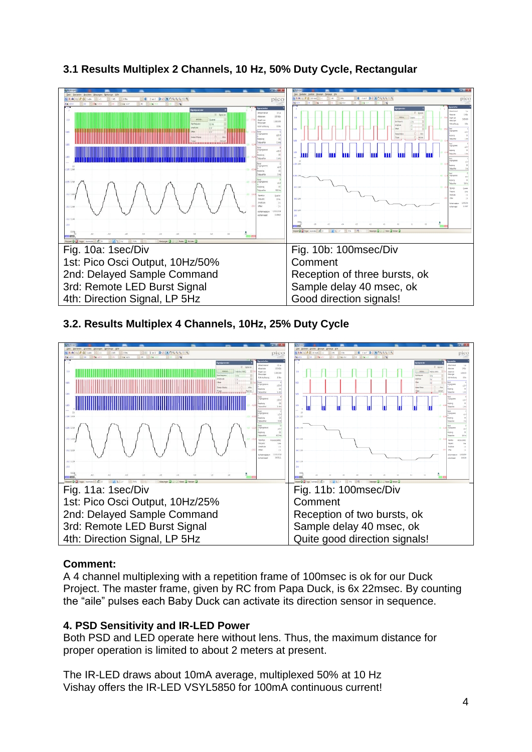

## **3.1 Results Multiplex 2 Channels, 10 Hz, 50% Duty Cycle, Rectangular**

## **3.2. Results Multiplex 4 Channels, 10Hz, 25% Duty Cycle**



### **Comment:**

A 4 channel multiplexing with a repetition frame of 100msec is ok for our Duck Project. The master frame, given by RC from Papa Duck, is 6x 22msec. By counting the "aile" pulses each Baby Duck can activate its direction sensor in sequence.

### **4. PSD Sensitivity and IR-LED Power**

Both PSD and LED operate here without lens. Thus, the maximum distance for proper operation is limited to about 2 meters at present.

The IR-LED draws about 10mA average, multiplexed 50% at 10 Hz Vishay offers the IR-LED VSYL5850 for 100mA continuous current!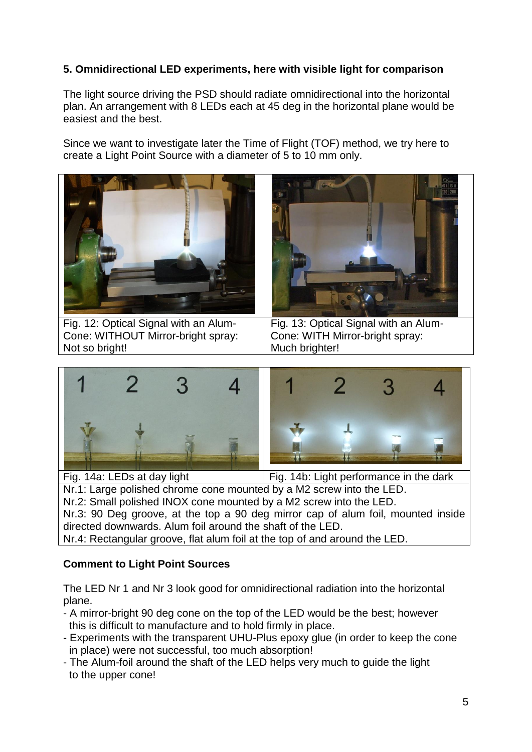## **5. Omnidirectional LED experiments, here with visible light for comparison**

The light source driving the PSD should radiate omnidirectional into the horizontal plan. An arrangement with 8 LEDs each at 45 deg in the horizontal plane would be easiest and the best.

Since we want to investigate later the Time of Flight (TOF) method, we try here to create a Light Point Source with a diameter of 5 to 10 mm only.



Cone: WITHOUT Mirror-bright spray: Not so bright!

Fig. 13: Optical Signal with an Alum-Cone: WITH Mirror-bright spray: Much briahter!



Fig. 14a: LEDs at day light Fig. 14b: Light performance in the dark Nr.1: Large polished chrome cone mounted by a M2 screw into the LED. Nr.2: Small polished INOX cone mounted by a M2 screw into the LED.

Nr.3: 90 Deg groove, at the top a 90 deg mirror cap of alum foil, mounted inside directed downwards. Alum foil around the shaft of the LED.

Nr.4: Rectangular groove, flat alum foil at the top of and around the LED.

## **Comment to Light Point Sources**

The LED Nr 1 and Nr 3 look good for omnidirectional radiation into the horizontal plane.

- A mirror-bright 90 deg cone on the top of the LED would be the best; however this is difficult to manufacture and to hold firmly in place.
- Experiments with the transparent UHU-Plus epoxy glue (in order to keep the cone in place) were not successful, too much absorption!
- The Alum-foil around the shaft of the LED helps very much to guide the light to the upper cone!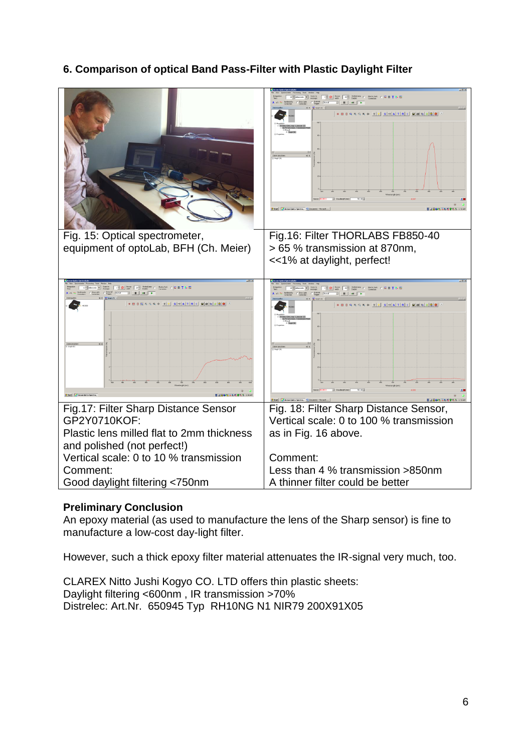# **6. Comparison of optical Band Pass-Filter with Plastic Daylight Filter**



### **Preliminary Conclusion**

An epoxy material (as used to manufacture the lens of the Sharp sensor) is fine to manufacture a low-cost day-light filter.

However, such a thick epoxy filter material attenuates the IR-signal very much, too.

CLAREX Nitto Jushi Kogyo CO. LTD offers thin plastic sheets: Daylight filtering <600nm , IR transmission >70% Distrelec: Art.Nr. 650945 Typ RH10NG N1 NIR79 200X91X05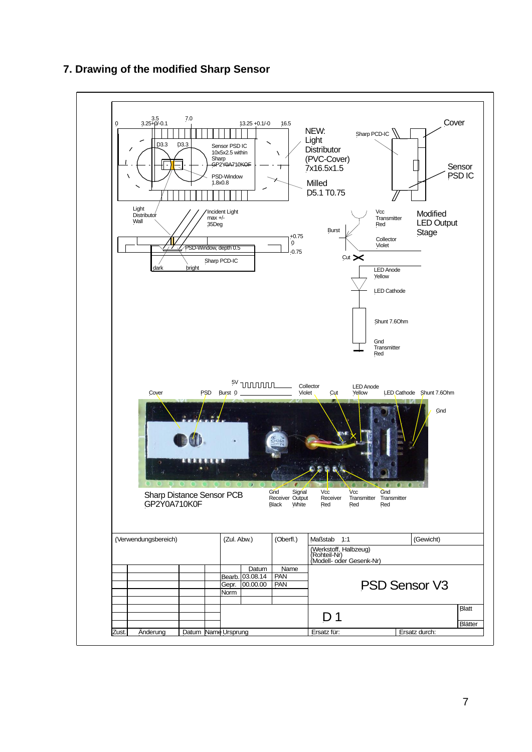

### **7. Drawing of the modified Sharp Sensor**